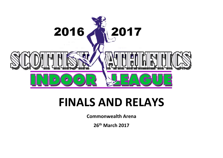

# **FINALS AND RELAYS**

**Commonwealth Arena**

**26th March 2017**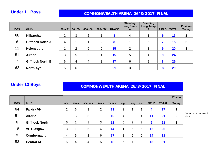### **Under 11 Boys** *COMMONWEALTH ARENA 26/3/2017 FINAL*

| nos | club                    | 60m'A'         | 60m'B'         | 600m'A'        | 600m'B'        | <b>TRACK</b> | <b>Standing</b><br><b>Long Jump</b><br>A | <b>Standing</b><br>Long Jump<br>A | <b>FIELD</b> | <b>TOTAL</b> | <b>Position</b><br><b>Today</b> |
|-----|-------------------------|----------------|----------------|----------------|----------------|--------------|------------------------------------------|-----------------------------------|--------------|--------------|---------------------------------|
|     |                         |                |                |                |                |              |                                          |                                   |              |              |                                 |
| 68  | Kilbarchan              | $\overline{2}$ | 3              | $\overline{2}$ |                | 8            | 4                                        |                                   | 5            | 13           |                                 |
| 6   | <b>Giffnock North A</b> | $\overline{4}$ |                |                | $\overline{2}$ | 8            |                                          | 6                                 | 7            | 15           | 2                               |
| 11  | Helensburgh             | 1              | $\overline{2}$ | 6              | 6              | 15           | $\overline{2}$                           | 3                                 | 5            | 20           | 3                               |
| 51  | <b>Airdrie</b>          | 3              | 5              | 3              | 4              | 15           | 5                                        | 4                                 | 9            | 24           |                                 |
|     | <b>Giffnock North B</b> | 6              | 4              | 4              | 3              | 17           | 6                                        | 2                                 | 8            | 25           |                                 |
| 62  | <b>North Ayr</b>        | 5              | 6              | 5              | 5              | 21           | 3                                        | 5                                 | 8            | 29           |                                 |

# **Under 13 Boys** *COMMONWEALTH ARENA 26/3/2017 FINAL*

|     |                       |                 |      |         |                  |              |             |                |                |              |              | <b>Positio</b>    |                            |
|-----|-----------------------|-----------------|------|---------|------------------|--------------|-------------|----------------|----------------|--------------|--------------|-------------------|----------------------------|
| nos | club                  | 60 <sub>m</sub> | 800m | 60m Hur | 200 <sub>m</sub> | <b>TRACK</b> | <b>High</b> | Long           | Shot           | <b>FIELD</b> | <b>TOTAL</b> | n<br><b>Today</b> |                            |
| 64  | <b>Falkirk VH</b>     | $\overline{2}$  | 6    | 3       | 2                | 13           | 2           | 4              |                | 4            | 17           | 1                 |                            |
| 51  | <b>Airdrie</b>        |                 | 3    | 5       |                  | 10           | 4           | 3              | 4              | 11           | 21           | $\mathbf{2}$      | Countback on event<br>wins |
| 6   | <b>Giffnock North</b> | 6               | 2    |         | 3                | 12           | 5           | $\overline{2}$ | $\overline{2}$ | 9            | 21           | 3                 |                            |
| 18  | <b>VP Glasgow</b>     | 3               |      | 6       | 4                | 14           |             | 6              | 5              | 12           | 26           |                   |                            |
| 9   | <b>Cumbernauld</b>    | 4               | 5    | 2       | 6                | 17           | 3           | 5              | 6              | 14           | 31           |                   |                            |
| 53  | <b>Central AC</b>     | 5               | 4    | 4       | 5                | <b>18</b>    | 6           | 4              | 3              | 13           | 31           |                   |                            |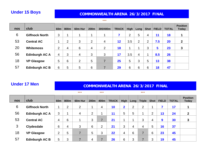### **Under 15 Boys** *COMMONWEALTH ARENA 26/3/2017 FINAL*

### **\*\*\***

| nos | club                  | <b>60m</b>     | 800m | 60m Hur        | 200m           | 300/400m       | <b>TRACK</b> | <b>High</b> | Long <sub> </sub> | Shot           | <b>FIELD</b> | <b>TOTAL</b> | <b>Position</b><br>Today |
|-----|-----------------------|----------------|------|----------------|----------------|----------------|--------------|-------------|-------------------|----------------|--------------|--------------|--------------------------|
| 6   | <b>Giffnock North</b> | 3              |      |                | 4              |                |              | 2           | 5                 | 4              | 11           | 18           |                          |
| 53  | <b>Central AC</b>     |                | 2    | 3              | $\overline{2}$ | 4              | 12           | 3.5         | 2                 | $\overline{2}$ | 7.5          | 20           | $\boldsymbol{2}$         |
| 20  | <b>Whitemoss</b>      | $\overline{2}$ | 4    | 6              | 4              | $\overline{2}$ | 18           |             | и                 | 3              | 5            | 23           | 3                        |
| 56  | <b>Edinburgh AC A</b> | 4              | 3    | $\overline{4}$ | 3              | 3              | 17           | 3.5         | 4                 | 4              | 8.5          | 26           |                          |
| 18  | <b>VP Glasgow</b>     | 5              | 6    | $\overline{2}$ | 5              | 7              | 25           | 5           | 3                 | 5              | 13           | 38           |                          |
| 57  | <b>Edinburgh AC B</b> | 6              | 5    | 5              | 6              | 7              | 29           | 6           | 6                 | 6              | 18           | 47           |                          |

# **Under 17 Men <br>
COMMONWEALTH ARENA 26/3/2017 FINAL**

### **\*\*\* \*\*\* \*\*\***

| nos | club                  | <b>60m</b> | 800m | 60m Hur        | 200m           | 400m                     | <b>TRACK</b> | <b>High</b>             | Long | <b>Triple</b>  | Shot $ $ | <b>FIELD</b> | <b>TOTAL</b> | <b>Position</b><br><b>Today</b> |
|-----|-----------------------|------------|------|----------------|----------------|--------------------------|--------------|-------------------------|------|----------------|----------|--------------|--------------|---------------------------------|
| 6   | <b>Giffnock North</b> |            | 2    | 2              | 1              | 4                        | 10           | $\overline{\mathbf{2}}$ | 2    | $\overline{2}$ |          |              | 17           |                                 |
| 56  | <b>Edinburgh AC A</b> | 3          |      | 4              | $\overline{2}$ |                          | 11           | 5                       | 5    |                | C        | 13           | 24           | $\boldsymbol{2}$                |
| 53  | <b>Central AC</b>     | 4          | 6    | 4              | 3              | $\overline{\phantom{a}}$ | 21           |                         |      | 3              | 4        | 9            | 30           | 3                               |
| 3   | <b>Clydesdale</b>     | 6          | 4    | 3              | 6              | $\overline{2}$           | 21           | 3                       | 4    | 4              | 5        | 16           | 37           |                                 |
| 18  | <b>VP Glasgow</b>     | 2          | 5    | $\overline{7}$ | 5              | 3                        | 22           | 4                       | 6    |                | 6        | 23           | 45           |                                 |
| 57  | <b>Edinburgh AC B</b> | 5          | 3    | $\overline{7}$ | 4              | 7                        | 26           | 6                       | 3    |                | 3        | 19           | 45           |                                 |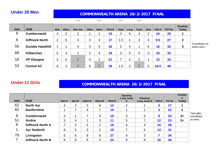### **Under 20 Men 19 COMMONWEALTH ARENA 26/3/2017 FINAL**

|     |                        |                 |        | ***                 |      | ***            |              | ***          |      | ***            |                |              |              |                                 |                            |
|-----|------------------------|-----------------|--------|---------------------|------|----------------|--------------|--------------|------|----------------|----------------|--------------|--------------|---------------------------------|----------------------------|
| nos | club                   | 60 <sub>m</sub> | 800m   | 60 <sub>m</sub> Hur | 200m | 400m           | <b>TRACK</b> | <b>High</b>  | Long | <b>Triple</b>  | <b>Shot</b>    | <b>FIELD</b> | <b>TOTAL</b> | <b>Position</b><br><b>Today</b> |                            |
| 9   | <b>Cumbernauld</b>     | 4               | ົ<br>∠ | 2                   |      |                | 10           | 4            | 6    | 4              | $\overline{2}$ | 16           | 26           |                                 |                            |
| 6   | <b>Giffnock North</b>  | っ               | 6      | 3                   | 3    | 3              | 17           | .5<br>и      |      | 3              | 4              | 9.5          | 27           | $\mathbf 2$                     |                            |
| 55  | <b>Dundee Hawkhill</b> |                 |        | 4                   | 5    | 5              | 16           | 5            | 4    |                | 6              | 16           | 32           | 3                               | Countback on<br>event wins |
| 68  | <b>Kilbarchan</b>      | 5               | 4      |                     | 2    | 4              | 16           | 3            | 5    | 5              | 3              | 16           | 32           |                                 |                            |
| 18  | <b>VP Glasgow</b>      | 3               | ხ      | 7                   | 4    | $\overline{2}$ | 21           |              | ົ    | $\overline{2}$ |                | 12           | 33           |                                 |                            |
| 53  | <b>Central AC</b>      | 6               | ົ      |                     | 6    |                | 29           | $.5\,$<br>-1 | 3    | 7              | 5              | 16.5         | 46           |                                 |                            |

### **Under 11 Girls** <br>**COMMONWEALTH ARENA 26/3/2017 FINAL**

| <b>nos</b> | club                    | 60m'A'         | 60m'B'         | 600m'A' | 600m'B'        | <b>TRACK</b> | <b>Standing</b><br>Long Jump<br>A | <b>Standing</b><br>Long Jump B | <b>FIELD</b> | <b>TOTAL</b> | <b>Positio</b><br>$\mathsf{n}$<br><b>Today</b> |                         |
|------------|-------------------------|----------------|----------------|---------|----------------|--------------|-----------------------------------|--------------------------------|--------------|--------------|------------------------------------------------|-------------------------|
| 62         | <b>North Ayr</b>        | 4              | $\overline{2}$ | 2       | 6              | 14           | 2                                 |                                | 3            | 17           |                                                |                         |
| 82         | <b>Dunfermline</b>      |                |                | 4       | ⇁              | 19           |                                   | $\overline{2}$                 | 3            | 22           | $\boldsymbol{2}$                               |                         |
| 9          | <b>Cumbernauld</b>      | $\overline{2}$ |                |         | 5              | 15           | 3                                 | 5                              | 8            | 23           | $3=$                                           | Tied after<br>countback |
| 51         | <b>Airdrie</b>          | 3              | 4              |         | 3              | 11           | 5                                 |                                | 12           | 23           | $3=$                                           | on wins                 |
| 6          | <b>Giffnock North A</b> |                | 3              | 5       |                | 16           | 6                                 | 4                              | 10           | 26           |                                                |                         |
|            | <b>Ayr Seaforth</b>     | 8              | 5              | 3       | 2              | 18           |                                   | 6                              | 13           | 31           |                                                |                         |
| 79         | Livingston              | 5              | 6              | 8       | 8              | 27           | 4                                 | 3                              |              | 34           |                                                |                         |
|            | <b>Giffnock North B</b> | 6              | 8              | 6       | $\overline{4}$ | 24           | 8                                 | 8                              | 16           | 40           |                                                |                         |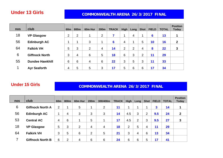# **Under 13 Girls COMMONWEALTH ARENA 26/3/2017 FINAL**

| nos | club                   | 60 <sub>m</sub> | 800m           | 60m Hur | 200m           | <b>TRACK</b>    | <b>High</b> | Long           | Shot | <b>FIELD</b> | <b>TOTAL</b> | <b>Position</b><br><b>Today</b> |
|-----|------------------------|-----------------|----------------|---------|----------------|-----------------|-------------|----------------|------|--------------|--------------|---------------------------------|
| 18  | <b>VP Glasgow</b>      | າ               | $\overline{2}$ | 1       | $\overline{2}$ | 7               |             | 4              |      | 6            | 13           |                                 |
| 56  | <b>Edinburgh AC</b>    |                 |                | 3       | ٠              | $6\phantom{1}6$ | 4           |                | 5    | 10           | 16           | $\boldsymbol{2}$                |
| 64  | <b>Falkirk VH</b>      | 5               | 3              | 2       | 4              | 14              | 2           | $\overline{2}$ | 4    | 8            | 22           | 3                               |
| 6   | <b>Giffnock North</b>  | 3               | 4              | 6       | 5              | 18              | 6           | 3              | າ    | 11           | 29           |                                 |
| 55  | <b>Dundee Hawkhill</b> | 6               | 6              | 4       | 6              | 22              | 3           | 5              | 3    | 11           | 33           |                                 |
|     | <b>Ayr Seaforth</b>    | 4               | 5              | 5       | 3              | 17              | 5           | 6              | 6    | 17           | 34           |                                 |

# **Under 15 Girls** <br>**COMMONWEALTH ARENA 26/3/2017 FINAL**

| nos | club                    | 60 <sub>m</sub> | 800m           | 60m Hur | 200m           | 300/400m       | <b>TRACK</b> | High           | Long           | <b>Shot</b>    | <b>FIELD</b> | <b>TOTAL</b> | <b>Position</b><br><b>Today</b> |
|-----|-------------------------|-----------------|----------------|---------|----------------|----------------|--------------|----------------|----------------|----------------|--------------|--------------|---------------------------------|
| 6   | <b>Giffnock North A</b> | $\overline{2}$  |                | 5       |                | $\overline{2}$ | 11           | -1             |                |                | $\mathbf{3}$ | 14           |                                 |
| 56  | <b>Edinburgh AC</b>     |                 | 4              | 3       | 3              | 3              | 14           | 4.5            | 3              | $\overline{2}$ | 9.5          | 24           | $\mathbf{2}$                    |
| 53  | <b>Central AC</b>       | 4               | 6              |         | 5              | 1              | 17           | 4.5            | $\overline{2}$ | 3              | 9.5          | 27           | 3                               |
| 18  | <b>VP Glasgow</b>       | 5               | 3              | 2       | 4              | 4              | 18           | $\overline{2}$ | 5              | 4              | 11           | 29           |                                 |
| 64  | <b>Falkirk VH</b>       | 3               | 5              | 6       | $\overline{2}$ | 5              | 21           | 3              | 4              | 6              | 13           | 34           |                                 |
| 7   | <b>Giffnock North B</b> | 6               | $\overline{2}$ | 4       | 6              | 6              | 24           | 6              | 6              | 5              | 17           | 41           |                                 |